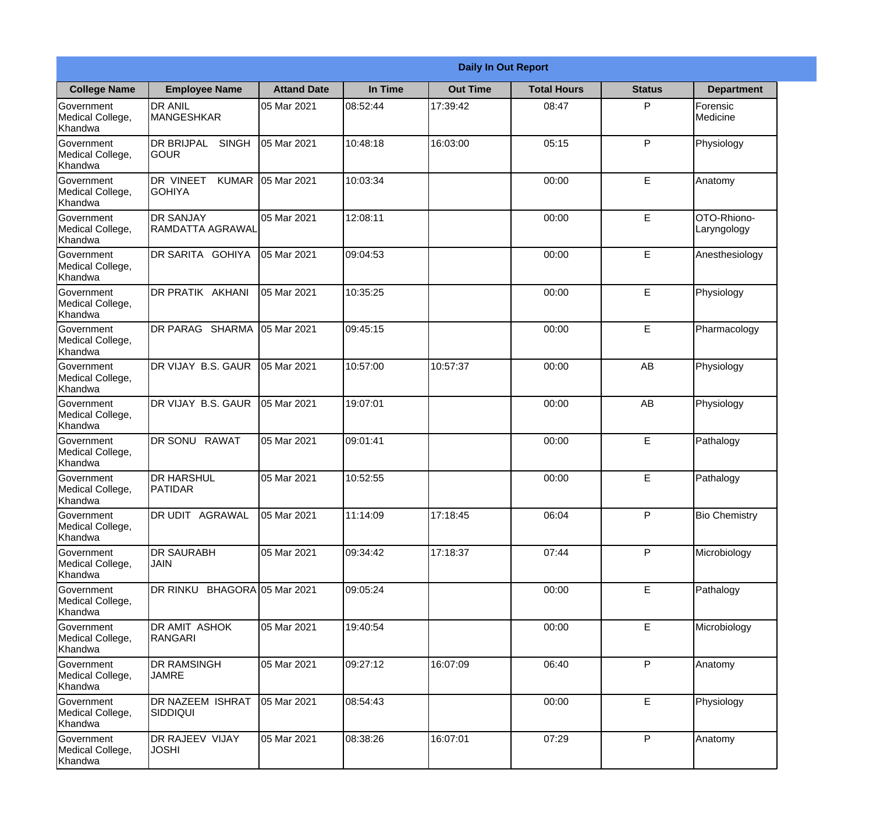|                                                  | <b>Daily In Out Report</b>                       |                    |          |                 |                    |               |                            |  |  |
|--------------------------------------------------|--------------------------------------------------|--------------------|----------|-----------------|--------------------|---------------|----------------------------|--|--|
| <b>College Name</b>                              | <b>Employee Name</b>                             | <b>Attand Date</b> | In Time  | <b>Out Time</b> | <b>Total Hours</b> | <b>Status</b> | <b>Department</b>          |  |  |
| Government<br>Medical College,<br>Khandwa        | <b>DR ANIL</b><br><b>MANGESHKAR</b>              | 05 Mar 2021        | 08:52:44 | 17:39:42        | 08:47              | P             | Forensic<br>Medicine       |  |  |
| Government<br>Medical College,<br>Khandwa        | <b>DR BRIJPAL</b><br><b>SINGH</b><br><b>SOUR</b> | 05 Mar 2021        | 10:48:18 | 16:03:00        | 05:15              | P             | Physiology                 |  |  |
| <b>Government</b><br>Medical College,<br>Khandwa | DR VINEET<br><b>KUMAR</b><br><b>GOHIYA</b>       | 05 Mar 2021        | 10:03:34 |                 | 00:00              | E             | Anatomy                    |  |  |
| Government<br>Medical College,<br>Khandwa        | <b>DR SANJAY</b><br><b>RAMDATTA AGRAWAL</b>      | 05 Mar 2021        | 12:08:11 |                 | 00:00              | E             | OTO-Rhiono-<br>Laryngology |  |  |
| Government<br>Medical College,<br>Khandwa        | DR SARITA GOHIYA                                 | 05 Mar 2021        | 09:04:53 |                 | 00:00              | E             | Anesthesiology             |  |  |
| Government<br>Medical College,<br>Khandwa        | DR PRATIK AKHANI                                 | 05 Mar 2021        | 10:35:25 |                 | 00:00              | E             | Physiology                 |  |  |
| Government<br>Medical College,<br>Khandwa        | DR PARAG SHARMA                                  | 05 Mar 2021        | 09:45:15 |                 | 00:00              | E             | Pharmacology               |  |  |
| Government<br>Medical College,<br>Khandwa        | DR VIJAY B.S. GAUR                               | 05 Mar 2021        | 10:57:00 | 10:57:37        | 00:00              | AB            | Physiology                 |  |  |
| Government<br>Medical College,<br>Khandwa        | DR VIJAY B.S. GAUR                               | 05 Mar 2021        | 19:07:01 |                 | 00:00              | AB            | Physiology                 |  |  |
| Government<br>Medical College,<br>Khandwa        | <b>DR SONU</b><br><b>RAWAT</b>                   | 05 Mar 2021        | 09:01:41 |                 | 00:00              | E             | Pathalogy                  |  |  |
| Government<br>Medical College,<br>Khandwa        | <b>I</b> DR HARSHUL<br><b>PATIDAR</b>            | 05 Mar 2021        | 10:52:55 |                 | 00:00              | E             | Pathalogy                  |  |  |
| Government<br>Medical College,<br>Khandwa        | <b>DR UDIT AGRAWAL</b>                           | 05 Mar 2021        | 11:14:09 | 17:18:45        | 06:04              | P             | <b>Bio Chemistry</b>       |  |  |
| Government<br>Medical College,<br>Khandwa        | <b>DR SAURABH</b><br><b>JAIN</b>                 | 05 Mar 2021        | 09:34:42 | 17:18:37        | 07:44              | P             | Microbiology               |  |  |
| Government<br>Medical College,<br>Khandwa        | DR RINKU BHAGORA 05 Mar 2021                     |                    | 09:05:24 |                 | 00:00              | E             | Pathalogy                  |  |  |
| Government<br>Medical College,<br>Khandwa        | DR AMIT ASHOK<br><b>RANGARI</b>                  | 05 Mar 2021        | 19:40:54 |                 | 00:00              | E             | Microbiology               |  |  |
| Government<br>Medical College,<br>Khandwa        | <b>DR RAMSINGH</b><br><b>JAMRE</b>               | 05 Mar 2021        | 09:27:12 | 16:07:09        | 06:40              | P             | Anatomy                    |  |  |
| Government<br>Medical College,<br>Khandwa        | <b>DR NAZEEM ISHRAT</b><br><b>SIDDIQUI</b>       | 05 Mar 2021        | 08:54:43 |                 | 00:00              | E             | Physiology                 |  |  |
| Government<br>Medical College,<br>Khandwa        | <b>DR RAJEEV VIJAY</b><br><b>JOSHI</b>           | 05 Mar 2021        | 08:38:26 | 16:07:01        | 07:29              | P             | Anatomy                    |  |  |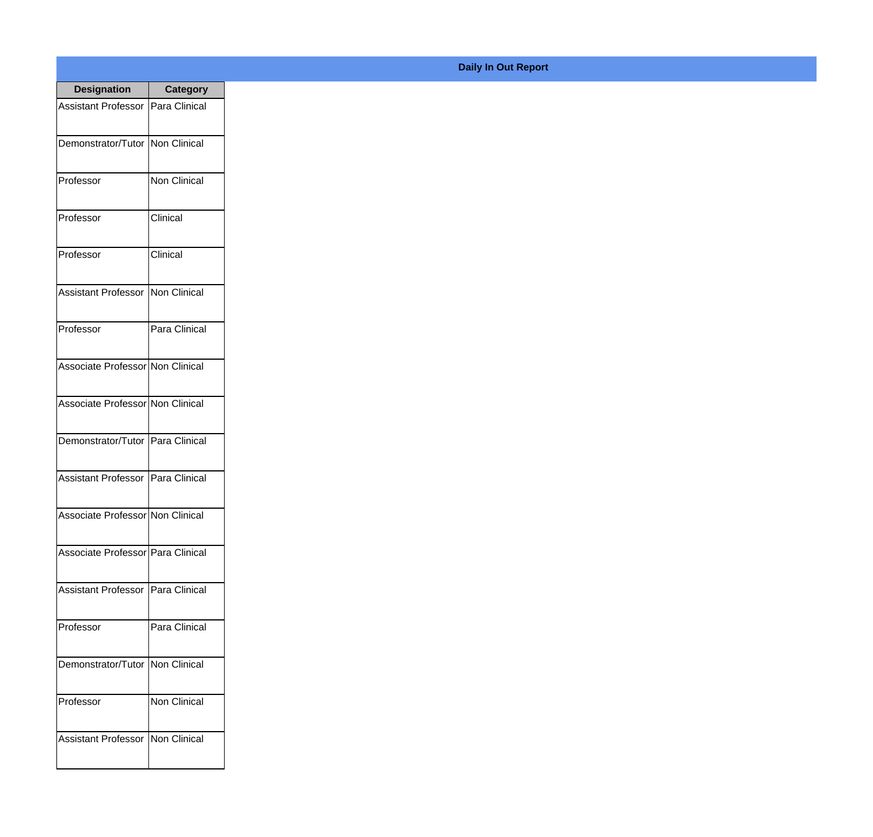| <b>Designation</b>                  | <b>Category</b>     |
|-------------------------------------|---------------------|
| Assistant Professor   Para Clinical |                     |
| Demonstrator/Tutor   Non Clinical   |                     |
| Professor                           | Non Clinical        |
| Professor                           | Clinical            |
| Professor                           | Clinical            |
| Assistant Professor   Non Clinical  |                     |
| Professor                           | Para Clinical       |
| Associate Professor Non Clinical    |                     |
| Associate Professor Non Clinical    |                     |
| Demonstrator/Tutor   Para Clinical  |                     |
| <b>Assistant Professor</b>          | Para Clinical       |
| Associate Professor Non Clinical    |                     |
| Associate Professor   Para Clinical |                     |
| Assistant Professor Para Clinical   |                     |
| Professor                           | Para Clinical       |
| Demonstrator/Tutor   Non Clinical   |                     |
| Professor                           | <b>Non Clinical</b> |
| Assistant Professor   Non Clinical  |                     |

## **Daily In Out Report**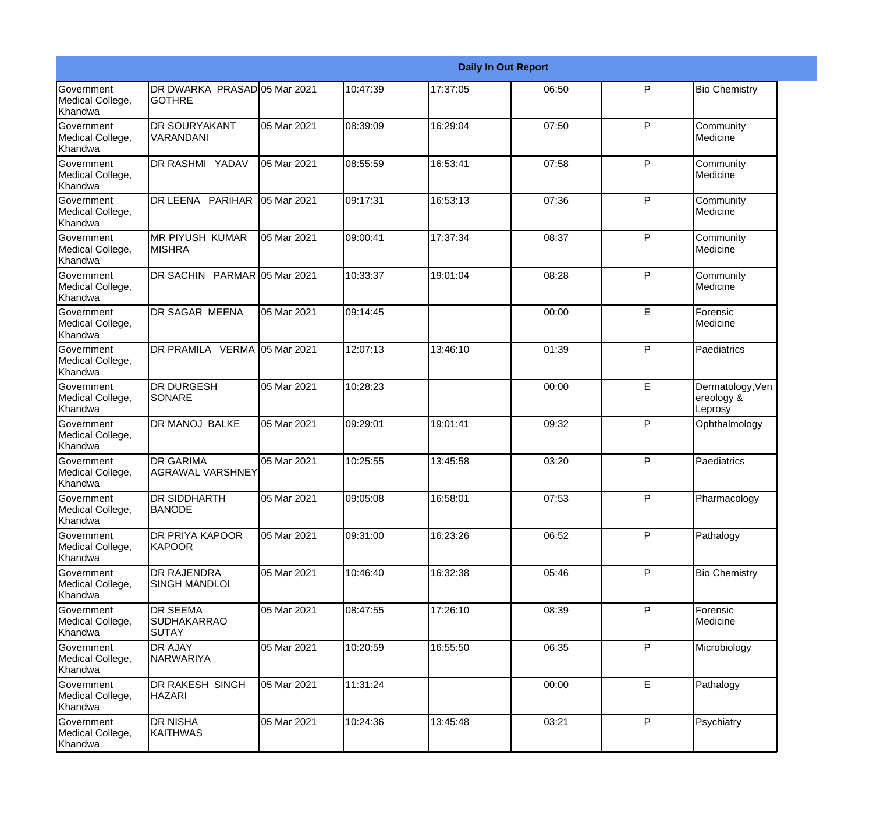|                                           | <b>Daily In Out Report</b>                            |             |          |          |       |              |                                           |  |
|-------------------------------------------|-------------------------------------------------------|-------------|----------|----------|-------|--------------|-------------------------------------------|--|
| Government<br>Medical College,<br>Khandwa | DR DWARKA PRASAD 05 Mar 2021<br><b>GOTHRE</b>         |             | 10:47:39 | 17:37:05 | 06:50 | P            | <b>Bio Chemistry</b>                      |  |
| Government<br>Medical College,<br>Khandwa | <b>DR SOURYAKANT</b><br>VARANDANI                     | 05 Mar 2021 | 08:39:09 | 16:29:04 | 07:50 | $\mathsf{P}$ | Community<br>Medicine                     |  |
| Government<br>Medical College,<br>Khandwa | DR RASHMI YADAV                                       | 05 Mar 2021 | 08:55:59 | 16:53:41 | 07:58 | P            | Community<br>Medicine                     |  |
| Government<br>Medical College,<br>Khandwa | DR LEENA PARIHAR                                      | 05 Mar 2021 | 09:17:31 | 16:53:13 | 07:36 | $\mathsf{P}$ | Community<br>Medicine                     |  |
| Government<br>Medical College,<br>Khandwa | <b>MR PIYUSH KUMAR</b><br><b>MISHRA</b>               | 05 Mar 2021 | 09:00:41 | 17:37:34 | 08:37 | $\mathsf{P}$ | Community<br>Medicine                     |  |
| Government<br>Medical College,<br>Khandwa | DR SACHIN PARMAR 05 Mar 2021                          |             | 10:33:37 | 19:01:04 | 08:28 | $\mathsf{P}$ | Community<br>Medicine                     |  |
| Government<br>Medical College,<br>Khandwa | <b>DR SAGAR MEENA</b>                                 | 05 Mar 2021 | 09:14:45 |          | 00:00 | E            | Forensic<br>Medicine                      |  |
| Government<br>Medical College,<br>Khandwa | DR PRAMILA VERMA 05 Mar 2021                          |             | 12:07:13 | 13:46:10 | 01:39 | $\mathsf{P}$ | Paediatrics                               |  |
| Government<br>Medical College,<br>Khandwa | <b>DR DURGESH</b><br><b>SONARE</b>                    | 05 Mar 2021 | 10:28:23 |          | 00:00 | E            | Dermatology, Ven<br>ereology &<br>Leprosy |  |
| Government<br>Medical College,<br>Khandwa | <b>DR MANOJ BALKE</b>                                 | 05 Mar 2021 | 09:29:01 | 19:01:41 | 09:32 | $\mathsf{P}$ | Ophthalmology                             |  |
| Government<br>Medical College,<br>Khandwa | <b>DR GARIMA</b><br><b>AGRAWAL VARSHNEY</b>           | 05 Mar 2021 | 10:25:55 | 13:45:58 | 03:20 | P            | Paediatrics                               |  |
| Government<br>Medical College,<br>Khandwa | <b>DR SIDDHARTH</b><br><b>BANODE</b>                  | 05 Mar 2021 | 09:05:08 | 16:58:01 | 07:53 | P            | Pharmacology                              |  |
| Government<br>Medical College,<br>Khandwa | DR PRIYA KAPOOR<br><b>KAPOOR</b>                      | 05 Mar 2021 | 09:31:00 | 16:23:26 | 06:52 | P            | Pathalogy                                 |  |
| Government<br>Medical College,<br>Khandwa | <b>DR RAJENDRA</b><br><b>SINGH MANDLOI</b>            | 05 Mar 2021 | 10:46:40 | 16:32:38 | 05:46 | P            | <b>Bio Chemistry</b>                      |  |
| Government<br>Medical College,<br>Khandwa | <b>DR SEEMA</b><br><b>SUDHAKARRAO</b><br><b>SUTAY</b> | 05 Mar 2021 | 08:47:55 | 17:26:10 | 08:39 | P            | Forensic<br>Medicine                      |  |
| Government<br>Medical College,<br>Khandwa | <b>DR AJAY</b><br>NARWARIYA                           | 05 Mar 2021 | 10:20:59 | 16:55:50 | 06:35 | P            | Microbiology                              |  |
| Government<br>Medical College,<br>Khandwa | DR RAKESH SINGH<br><b>HAZARI</b>                      | 05 Mar 2021 | 11:31:24 |          | 00:00 | E            | Pathalogy                                 |  |
| Government<br>Medical College,<br>Khandwa | <b>DR NISHA</b><br>KAITHWAS                           | 05 Mar 2021 | 10:24:36 | 13:45:48 | 03:21 | P            | Psychiatry                                |  |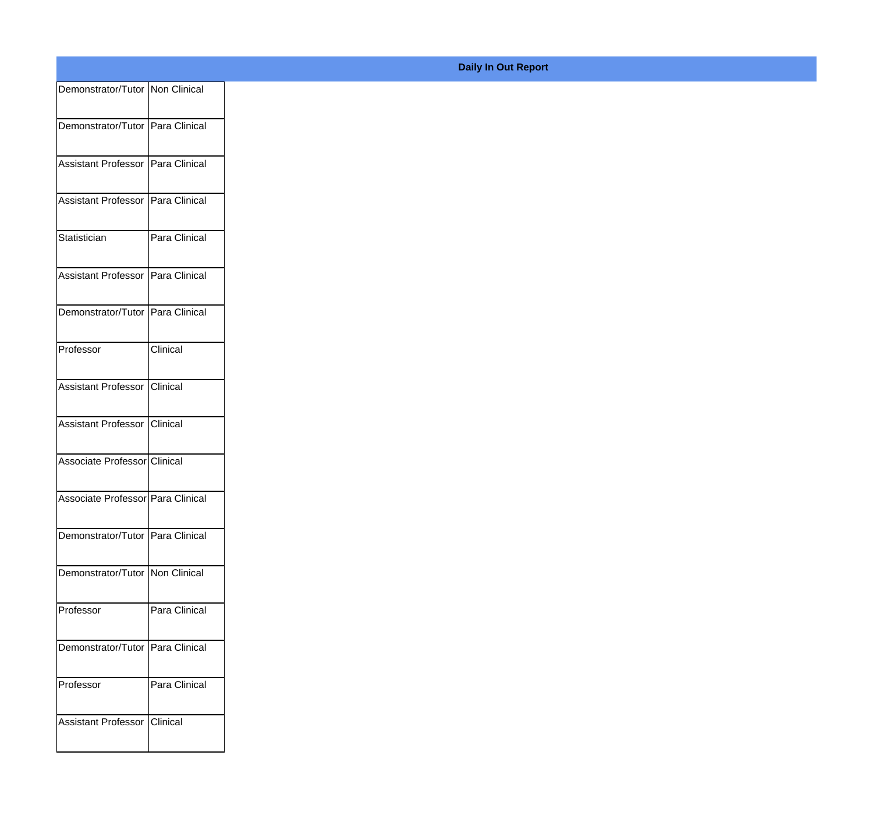| Demonstrator/Tutor   Non Clinical   |               |
|-------------------------------------|---------------|
| Demonstrator/Tutor Para Clinical    |               |
| Assistant Professor   Para Clinical |               |
| Assistant Professor   Para Clinical |               |
| Statistician                        | Para Clinical |
| Assistant Professor Para Clinical   |               |
| Demonstrator/Tutor Para Clinical    |               |
| Professor                           | Clinical      |
| Assistant Professor Clinical        |               |
| Assistant Professor Clinical        |               |
| Associate Professor Clinical        |               |
| Associate Professor   Para Clinical |               |
| Demonstrator/Tutor   Para Clinical  |               |
| Demonstrator/Tutor   Non Clinical   |               |
| Professor                           | Para Clinical |
| Demonstrator/Tutor Para Clinical    |               |
| Professor                           | Para Clinical |
| Assistant Professor Clinical        |               |
|                                     |               |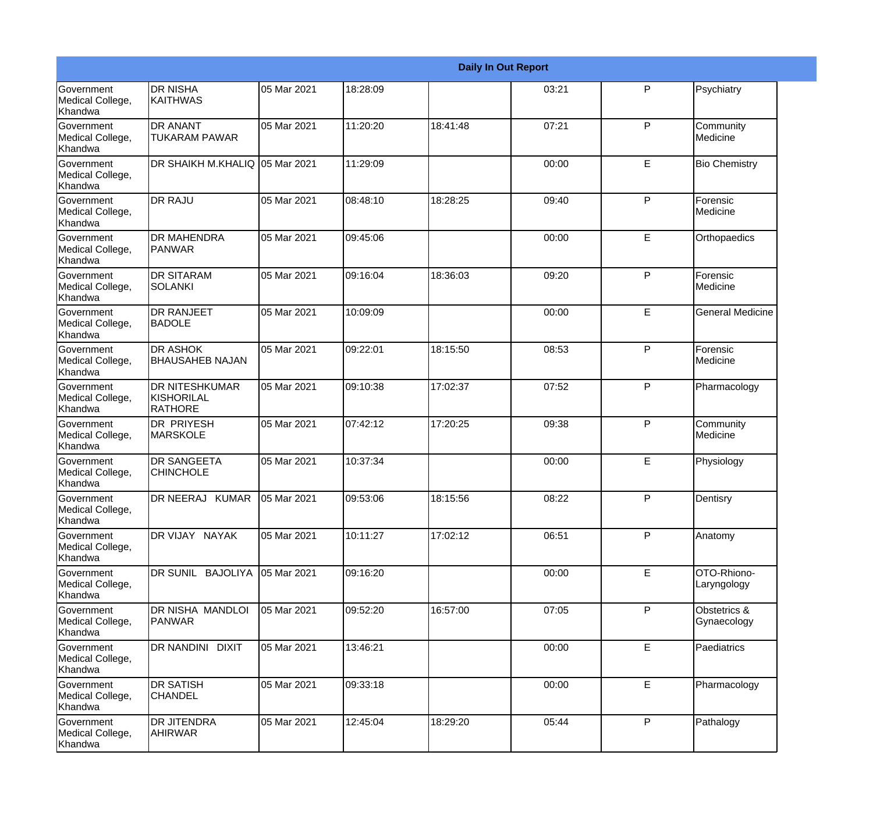|                                           |                                                       |             |          |          | <b>Daily In Out Report</b> |              |                             |
|-------------------------------------------|-------------------------------------------------------|-------------|----------|----------|----------------------------|--------------|-----------------------------|
| Government<br>Medical College,<br>Khandwa | <b>DR NISHA</b><br><b>KAITHWAS</b>                    | 05 Mar 2021 | 18:28:09 |          | 03:21                      | P            | Psychiatry                  |
| Government<br>Medical College,<br>Khandwa | <b>DR ANANT</b><br><b>TUKARAM PAWAR</b>               | 05 Mar 2021 | 11:20:20 | 18:41:48 | 07:21                      | $\mathsf{P}$ | Community<br>Medicine       |
| Government<br>Medical College,<br>Khandwa | DR SHAIKH M.KHALIQ 05 Mar 2021                        |             | 11:29:09 |          | 00:00                      | E            | <b>Bio Chemistry</b>        |
| Government<br>Medical College,<br>Khandwa | <b>DR RAJU</b>                                        | 05 Mar 2021 | 08:48:10 | 18:28:25 | 09:40                      | P            | Forensic<br>Medicine        |
| Government<br>Medical College,<br>Khandwa | <b>DR MAHENDRA</b><br><b>PANWAR</b>                   | 05 Mar 2021 | 09:45:06 |          | 00:00                      | E            | Orthopaedics                |
| Government<br>Medical College,<br>Khandwa | <b>DR SITARAM</b><br>ISOLANKI                         | 05 Mar 2021 | 09:16:04 | 18:36:03 | 09:20                      | $\mathsf{P}$ | Forensic<br>Medicine        |
| Government<br>Medical College,<br>Khandwa | <b>I</b> DR RANJEET<br>BADOLE                         | 05 Mar 2021 | 10:09:09 |          | 00:00                      | E            | <b>General Medicine</b>     |
| Government<br>Medical College,<br>Khandwa | <b>DR ASHOK</b><br><b>BHAUSAHEB NAJAN</b>             | 05 Mar 2021 | 09:22:01 | 18:15:50 | 08:53                      | $\mathsf{P}$ | Forensic<br>Medicine        |
| Government<br>Medical College,<br>Khandwa | <b>DR NITESHKUMAR</b><br><b>KISHORILAL</b><br>RATHORE | 05 Mar 2021 | 09:10:38 | 17:02:37 | 07:52                      | $\mathsf{P}$ | Pharmacology                |
| Government<br>Medical College,<br>Khandwa | <b>DR PRIYESH</b><br><b>MARSKOLE</b>                  | 05 Mar 2021 | 07:42:12 | 17:20:25 | 09:38                      | $\mathsf{P}$ | Community<br>Medicine       |
| Government<br>Medical College,<br>Khandwa | <b>DR SANGEETA</b><br><b>CHINCHOLE</b>                | 05 Mar 2021 | 10:37:34 |          | 00:00                      | E            | Physiology                  |
| Government<br>Medical College,<br>Khandwa | DR NEERAJ KUMAR                                       | 05 Mar 2021 | 09:53:06 | 18:15:56 | 08:22                      | P            | Dentisry                    |
| Government<br>Medical College,<br>Khandwa | DR VIJAY NAYAK                                        | 05 Mar 2021 | 10:11:27 | 17:02:12 | 06:51                      | P            | Anatomy                     |
| Government<br>Medical College,<br>Khandwa | DR SUNIL BAJOLIYA                                     | 05 Mar 2021 | 09:16:20 |          | 00:00                      | E            | OTO-Rhiono-<br>Laryngology  |
| Government<br>Medical College,<br>Khandwa | DR NISHA MANDLOI<br><b>PANWAR</b>                     | 05 Mar 2021 | 09:52:20 | 16:57:00 | 07:05                      | P            | Obstetrics &<br>Gynaecology |
| Government<br>Medical College,<br>Khandwa | <b>DR NANDINI DIXIT</b>                               | 05 Mar 2021 | 13:46:21 |          | 00:00                      | E            | Paediatrics                 |
| Government<br>Medical College,<br>Khandwa | <b>DR SATISH</b><br><b>CHANDEL</b>                    | 05 Mar 2021 | 09:33:18 |          | 00:00                      | E            | Pharmacology                |
| Government<br>Medical College,<br>Khandwa | <b>DR JITENDRA</b><br><b>AHIRWAR</b>                  | 05 Mar 2021 | 12:45:04 | 18:29:20 | 05:44                      | P            | Pathalogy                   |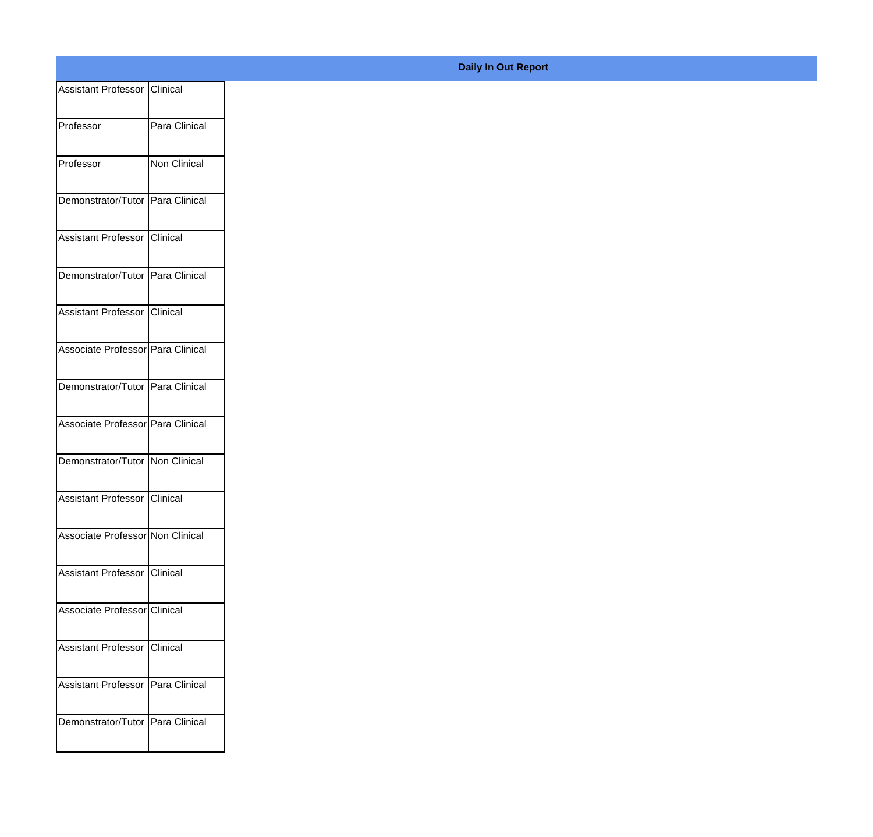## **Daily In Out Report**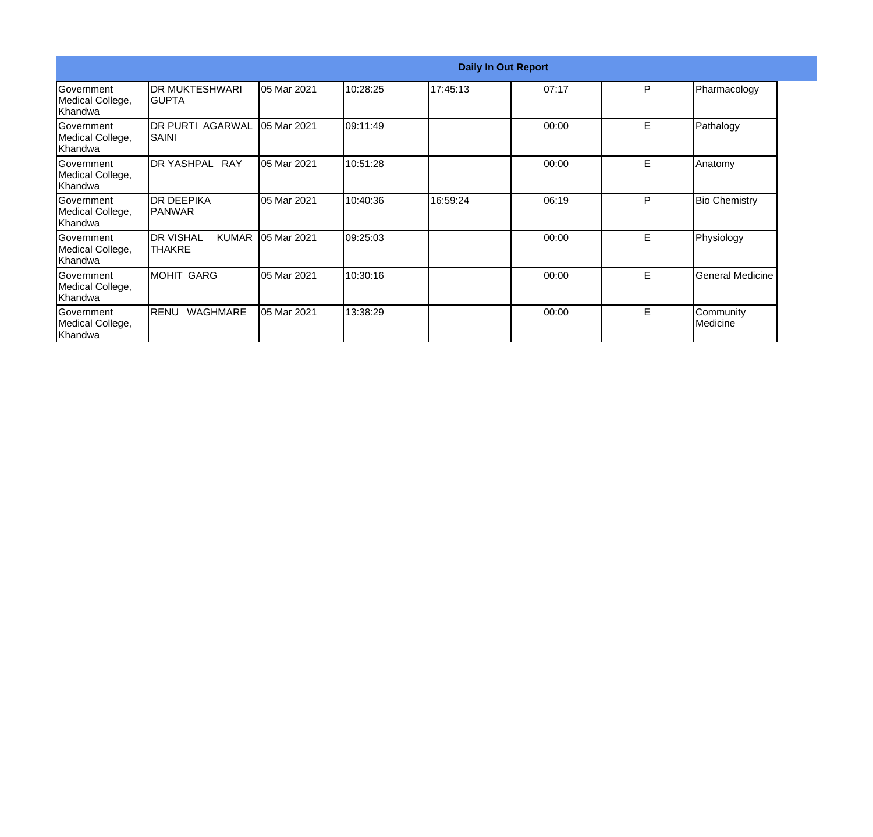|                                                   | <b>Daily In Out Report</b>                           |                    |           |          |       |   |                         |  |  |
|---------------------------------------------------|------------------------------------------------------|--------------------|-----------|----------|-------|---|-------------------------|--|--|
| <b>Government</b><br>Medical College,<br> Khandwa | IDR MUKTESHWARI<br>IGUPTA                            | <b>05 Mar 2021</b> | 10:28:25  | 17:45:13 | 07:17 | P | Pharmacology            |  |  |
| lGovernment<br>Medical College,<br> Khandwa       | IDR PURTI AGARWAL<br>ISAINI                          | 05 Mar 2021        | 109:11:49 |          | 00:00 | E | Pathalogy               |  |  |
| Government<br>Medical College,<br> Khandwa        | DR YASHPAL RAY                                       | 05 Mar 2021        | 10:51:28  |          | 00:00 | E | Anatomy                 |  |  |
| Government<br>Medical College,<br>Khandwa         | <b>DR DEEPIKA</b><br><b>IPANWAR</b>                  | 05 Mar 2021        | 10:40:36  | 16:59:24 | 06:19 | P | <b>Bio Chemistry</b>    |  |  |
| <b>Government</b><br>Medical College,<br>Khandwa  | <b>I</b> DR VISHAL<br><b>KUMAR</b><br><b>ITHAKRE</b> | 05 Mar 2021        | 09:25:03  |          | 00:00 | E | Physiology              |  |  |
| <b>Government</b><br>Medical College,<br>Khandwa  | MOHIT GARG                                           | 05 Mar 2021        | 10:30:16  |          | 00:00 | E | <b>General Medicine</b> |  |  |
| lGovernment<br>Medical College,<br>Khandwa        | WAGHMARE<br>RENU                                     | 05 Mar 2021        | 13:38:29  |          | 00:00 | E | Community<br>Medicine   |  |  |